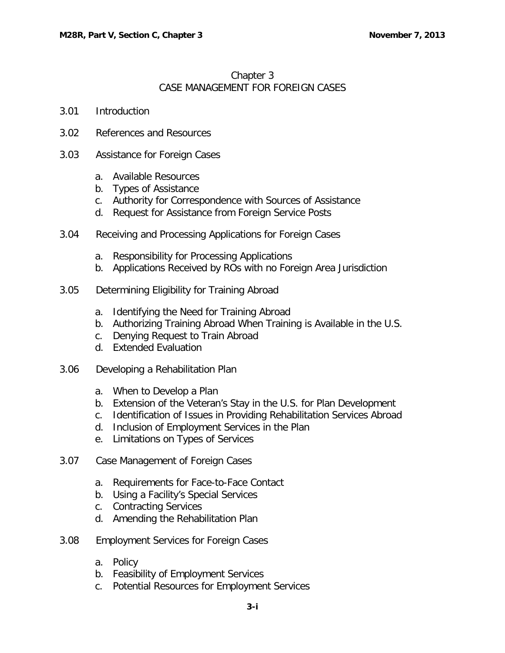## Chapter 3 CASE MANAGEMENT FOR FOREIGN CASES

- 3.01 [Introduction](#page-2-0)
- 3.02 [References and Resources](#page-2-1)
- 3.03 [Assistance for Foreign Cases](#page-2-2)
	- a. [Available Resources](#page-2-3)
	- b. [Types of Assistance](#page-3-0)
	- c. [Authority for Correspondence with Sources](#page-3-1) of Assistance
	- d. [Request for Assistance from Foreign Service Posts](#page-3-2)
- 3.04 [Receiving and Processing Applications for Foreign Cases](#page-3-3)
	- a. [Responsibility for Processing Applications](#page-3-4)
	- b. [Applications Received by ROs with no Foreign Area Jurisdiction](#page-3-5)
- 3.05 [Determining Eligibility for Training Abroad](#page-4-0)
	- a. [Identifying the Need for Training Abroad](#page-4-1)
	- b. [Authorizing Training Abroad When Training is Available in the U.S.](#page-4-2)
	- c. [Denying Request to Train Abroad](#page-4-3)
	- d. [Extended Evaluation](#page-5-0)
- 3.06 [Developing a Rehabilitation Plan](#page-5-1)
	- a. [When to Develop a Plan](#page-5-2)
	- b. [Extension of the Veteran's Stay in the U.S. for Plan Development](#page-5-3)
	- c. [Identification of Issues in Providing Rehabilitation Services Abroad](#page-5-4)
	- d. [Inclusion of Employment Services in the Plan](#page-5-5)
	- e. [Limitations on Types of Services](#page-6-0)
- 3.07 [Case Management of Foreign Cases](#page-6-1)
	- a. [Requirements for Face-to-Face Contact](#page-6-2)
	- b. [Using a Facility's Special Services](#page-7-0)
	- c. [Contracting Services](#page-7-1)
	- d. [Amending the Rehabilitation Plan](#page-7-2)
- 3.08 [Employment Services for Foreign Cases](#page-7-3)
	- a. [Policy](#page-7-4)
	- b. [Feasibility of Employment Services](#page-7-5)
	- c. [Potential Resources for Employment Services](#page-8-0)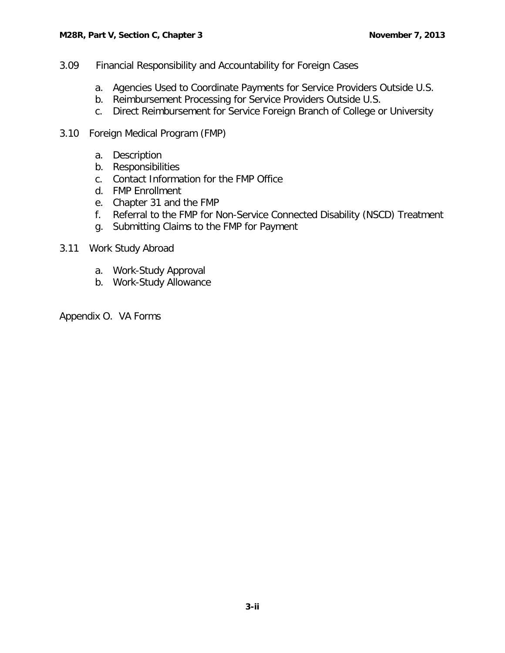- 3.09 [Financial Responsibility and Accountability for Foreign Cases](#page-8-1)
	- a. [Agencies Used to Coordinate Payments for Service Providers Outside U.S.](#page-8-2)
	- b. [Reimbursement Processing for Service Providers Outside U.S.](#page-8-3)
	- c. [Direct Reimbursement for Service Foreign Branch of College or University](#page-9-0)
- 3.10 Foreign Medical Program (FMP)
	- a. [Description](#page-9-1)
	- b. [Responsibilities](#page-9-2)
	- c. [Contact Information for the FMP Office](#page-9-3)
	- d. [FMP Enrollment](#page-10-0)
	- e. [Chapter 31 and the FMP](#page-10-1)
	- f. [Referral to the FMP for Non-Service Connected Disability \(NSCD\) Treatment](#page-11-0)
	- g. [Submitting Claims to the FMP for Payment](#page-11-1)
- 3.11 Work Study Abroad
	- a. [Work-Study Approval](#page-11-2)
	- b. [Work-Study Allowance](#page-12-0)

Appendix O. VA Forms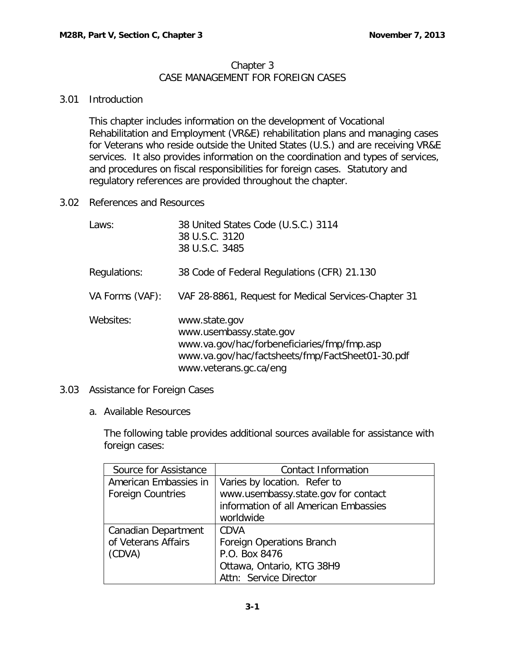## Chapter 3 CASE MANAGEMENT FOR FOREIGN CASES

## <span id="page-2-0"></span>3.01 Introduction

This chapter includes information on the development of Vocational Rehabilitation and Employment (VR&E) rehabilitation plans and managing cases for Veterans who reside outside the United States (U.S.) and are receiving VR&E services. It also provides information on the coordination and types of services, and procedures on fiscal responsibilities for foreign cases. Statutory and regulatory references are provided throughout the chapter.

<span id="page-2-1"></span>3.02 References and Resources

| Laws:           | 38 United States Code (U.S.C.) 3114<br>38 U.S.C. 3120<br>38 U.S.C. 3485                                                                                               |
|-----------------|-----------------------------------------------------------------------------------------------------------------------------------------------------------------------|
| Regulations:    | 38 Code of Federal Regulations (CFR) 21.130                                                                                                                           |
| VA Forms (VAF): | VAF 28-8861, Request for Medical Services-Chapter 31                                                                                                                  |
| Websites:       | www.state.gov<br>www.usembassy.state.gov<br>www.va.gov/hac/forbeneficiaries/fmp/fmp.asp<br>www.va.gov/hac/factsheets/fmp/FactSheet01-30.pdf<br>www.veterans.gc.ca/eng |

- <span id="page-2-3"></span><span id="page-2-2"></span>3.03 Assistance for Foreign Cases
	- a. Available Resources

The following table provides additional sources available for assistance with foreign cases:

| Source for Assistance    | Contact Information                   |
|--------------------------|---------------------------------------|
| American Embassies in    | Varies by location. Refer to          |
| <b>Foreign Countries</b> | www.usembassy.state.gov for contact   |
|                          | information of all American Embassies |
|                          | worldwide                             |
| Canadian Department      | <b>CDVA</b>                           |
| of Veterans Affairs      | <b>Foreign Operations Branch</b>      |
| (CDVA)                   | P.O. Box 8476                         |
|                          | Ottawa, Ontario, KTG 38H9             |
|                          | Attn: Service Director                |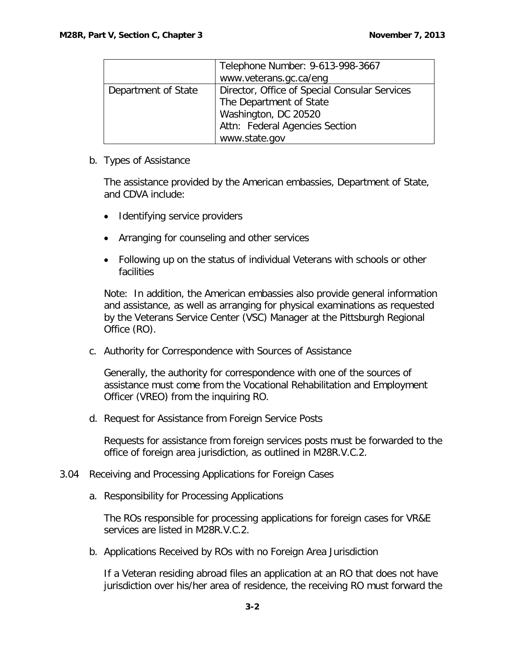|                     | Telephone Number: 9-613-998-3667<br>www.veterans.gc.ca/eng                                                                                          |
|---------------------|-----------------------------------------------------------------------------------------------------------------------------------------------------|
| Department of State | Director, Office of Special Consular Services<br>The Department of State<br>Washington, DC 20520<br>Attn: Federal Agencies Section<br>www.state.gov |

<span id="page-3-0"></span>b. Types of Assistance

The assistance provided by the American embassies, Department of State, and CDVA include:

- Identifying service providers
- Arranging for counseling and other services
- Following up on the status of individual Veterans with schools or other facilities

Note: In addition, the American embassies also provide general information and assistance, as well as arranging for physical examinations as requested by the Veterans Service Center (VSC) Manager at the Pittsburgh Regional Office (RO).

<span id="page-3-1"></span>c. Authority for Correspondence with Sources of Assistance

Generally, the authority for correspondence with one of the sources of assistance must come from the Vocational Rehabilitation and Employment Officer (VREO) from the inquiring RO.

<span id="page-3-2"></span>d. Request for Assistance from Foreign Service Posts

Requests for assistance from foreign services posts must be forwarded to the office of foreign area jurisdiction, as outlined in M28R.V.C.2.

- <span id="page-3-4"></span><span id="page-3-3"></span>3.04 Receiving and Processing Applications for Foreign Cases
	- a. Responsibility for Processing Applications

The ROs responsible for processing applications for foreign cases for VR&E services are listed in M28R.V.C.2.

<span id="page-3-5"></span>b. Applications Received by ROs with no Foreign Area Jurisdiction

If a Veteran residing abroad files an application at an RO that does not have jurisdiction over his/her area of residence, the receiving RO must forward the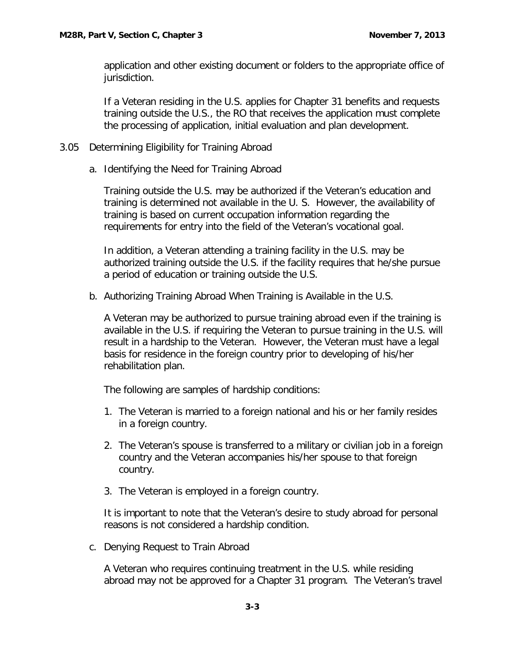application and other existing document or folders to the appropriate office of jurisdiction.

If a Veteran residing in the U.S. applies for Chapter 31 benefits and requests training outside the U.S., the RO that receives the application must complete the processing of application, initial evaluation and plan development.

- <span id="page-4-1"></span><span id="page-4-0"></span>3.05 Determining Eligibility for Training Abroad
	- a. Identifying the Need for Training Abroad

Training outside the U.S. may be authorized if the Veteran's education and training is determined not available in the U. S. However, the availability of training is based on current occupation information regarding the requirements for entry into the field of the Veteran's vocational goal.

In addition, a Veteran attending a training facility in the U.S. may be authorized training outside the U.S. if the facility requires that he/she pursue a period of education or training outside the U.S.

<span id="page-4-2"></span>b. Authorizing Training Abroad When Training is Available in the U.S.

A Veteran may be authorized to pursue training abroad even if the training is available in the U.S. if requiring the Veteran to pursue training in the U.S. will result in a hardship to the Veteran. However, the Veteran must have a legal basis for residence in the foreign country prior to developing of his/her rehabilitation plan.

The following are samples of hardship conditions:

- 1. The Veteran is married to a foreign national and his or her family resides in a foreign country.
- 2. The Veteran's spouse is transferred to a military or civilian job in a foreign country and the Veteran accompanies his/her spouse to that foreign country.
- 3. The Veteran is employed in a foreign country.

It is important to note that the Veteran's desire to study abroad for personal reasons is not considered a hardship condition.

<span id="page-4-3"></span>c. Denying Request to Train Abroad

A Veteran who requires continuing treatment in the U.S. while residing abroad may not be approved for a Chapter 31 program. The Veteran's travel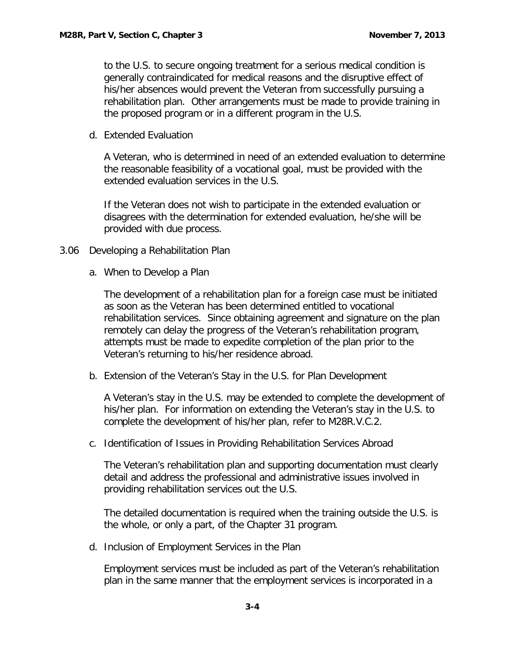to the U.S. to secure ongoing treatment for a serious medical condition is generally contraindicated for medical reasons and the disruptive effect of his/her absences would prevent the Veteran from successfully pursuing a rehabilitation plan. Other arrangements must be made to provide training in the proposed program or in a different program in the U.S.

<span id="page-5-0"></span>d. Extended Evaluation

A Veteran, who is determined in need of an extended evaluation to determine the reasonable feasibility of a vocational goal, must be provided with the extended evaluation services in the U.S.

If the Veteran does not wish to participate in the extended evaluation or disagrees with the determination for extended evaluation, he/she will be provided with due process.

- <span id="page-5-2"></span><span id="page-5-1"></span>3.06 Developing a Rehabilitation Plan
	- a. When to Develop a Plan

The development of a rehabilitation plan for a foreign case must be initiated as soon as the Veteran has been determined entitled to vocational rehabilitation services. Since obtaining agreement and signature on the plan remotely can delay the progress of the Veteran's rehabilitation program, attempts must be made to expedite completion of the plan prior to the Veteran's returning to his/her residence abroad.

<span id="page-5-3"></span>b. Extension of the Veteran's Stay in the U.S. for Plan Development

A Veteran's stay in the U.S. may be extended to complete the development of his/her plan. For information on extending the Veteran's stay in the U.S. to complete the development of his/her plan, refer to M28R.V.C.2.

<span id="page-5-4"></span>c. Identification of Issues in Providing Rehabilitation Services Abroad

The Veteran's rehabilitation plan and supporting documentation must clearly detail and address the professional and administrative issues involved in providing rehabilitation services out the U.S.

The detailed documentation is required when the training outside the U.S. is the whole, or only a part, of the Chapter 31 program.

<span id="page-5-5"></span>d. Inclusion of Employment Services in the Plan

Employment services must be included as part of the Veteran's rehabilitation plan in the same manner that the employment services is incorporated in a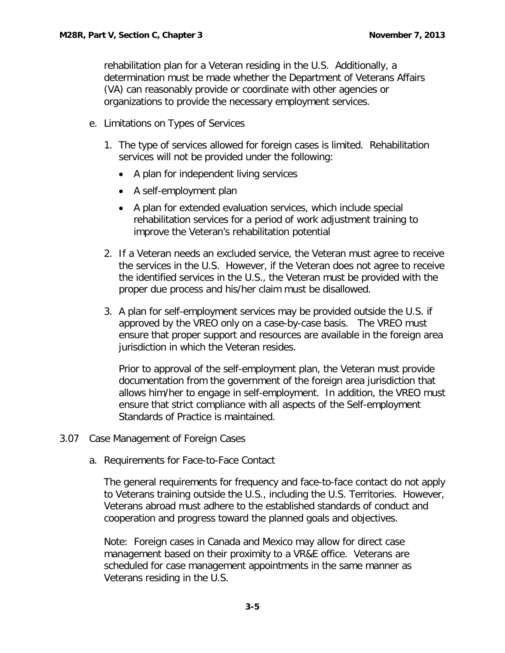rehabilitation plan for a Veteran residing in the U.S. Additionally, a determination must be made whether the Department of Veterans Affairs (VA) can reasonably provide or coordinate with other agencies or organizations to provide the necessary employment services.

- <span id="page-6-0"></span>e. Limitations on Types of Services
	- 1. The type of services allowed for foreign cases is limited. Rehabilitation services will not be provided under the following:
		- A plan for independent living services
		- A self-employment plan
		- A plan for extended evaluation services, which include special rehabilitation services for a period of work adjustment training to improve the Veteran's rehabilitation potential
	- 2. If a Veteran needs an excluded service, the Veteran must agree to receive the services in the U.S. However, if the Veteran does not agree to receive the identified services in the U.S., the Veteran must be provided with the proper due process and his/her claim must be disallowed.
	- 3. A plan for self-employment services may be provided outside the U.S. if approved by the VREO only on a case-by-case basis. The VREO must ensure that proper support and resources are available in the foreign area jurisdiction in which the Veteran resides.

Prior to approval of the self-employment plan, the Veteran must provide documentation from the government of the foreign area jurisdiction that allows him/her to engage in self-employment. In addition, the VREO must ensure that strict compliance with all aspects of the Self-employment Standards of Practice is maintained.

- <span id="page-6-2"></span><span id="page-6-1"></span>3.07 Case Management of Foreign Cases
	- a. Requirements for Face-to-Face Contact

The general requirements for frequency and face-to-face contact do not apply to Veterans training outside the U.S., including the U.S. Territories. However, Veterans abroad must adhere to the established standards of conduct and cooperation and progress toward the planned goals and objectives.

Note: Foreign cases in Canada and Mexico may allow for direct case management based on their proximity to a VR&E office. Veterans are scheduled for case management appointments in the same manner as Veterans residing in the U.S.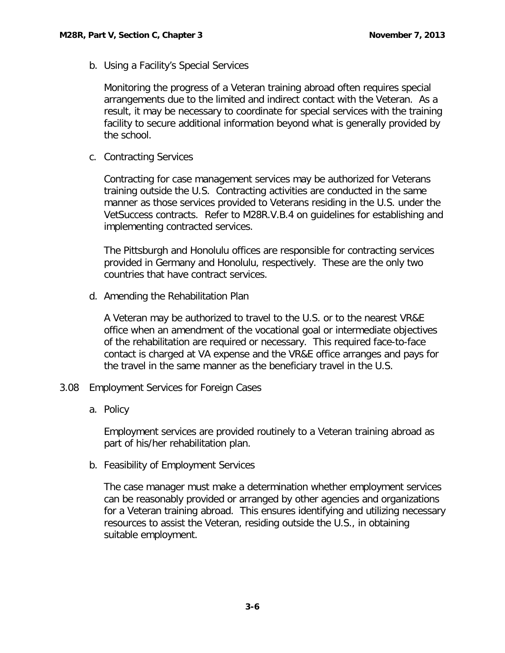<span id="page-7-0"></span>b. Using a Facility's Special Services

Monitoring the progress of a Veteran training abroad often requires special arrangements due to the limited and indirect contact with the Veteran. As a result, it may be necessary to coordinate for special services with the training facility to secure additional information beyond what is generally provided by the school.

<span id="page-7-1"></span>c. Contracting Services

Contracting for case management services may be authorized for Veterans training outside the U.S. Contracting activities are conducted in the same manner as those services provided to Veterans residing in the U.S. under the VetSuccess contracts. Refer to M28R.V.B.4 on guidelines for establishing and implementing contracted services.

The Pittsburgh and Honolulu offices are responsible for contracting services provided in Germany and Honolulu, respectively. These are the only two countries that have contract services.

<span id="page-7-2"></span>d. Amending the Rehabilitation Plan

A Veteran may be authorized to travel to the U.S. or to the nearest VR&E office when an amendment of the vocational goal or intermediate objectives of the rehabilitation are required or necessary. This required face-to-face contact is charged at VA expense and the VR&E office arranges and pays for the travel in the same manner as the beneficiary travel in the U.S.

- <span id="page-7-4"></span><span id="page-7-3"></span>3.08 Employment Services for Foreign Cases
	- a. Policy

Employment services are provided routinely to a Veteran training abroad as part of his/her rehabilitation plan.

<span id="page-7-5"></span>b. Feasibility of Employment Services

The case manager must make a determination whether employment services can be reasonably provided or arranged by other agencies and organizations for a Veteran training abroad. This ensures identifying and utilizing necessary resources to assist the Veteran, residing outside the U.S., in obtaining suitable employment.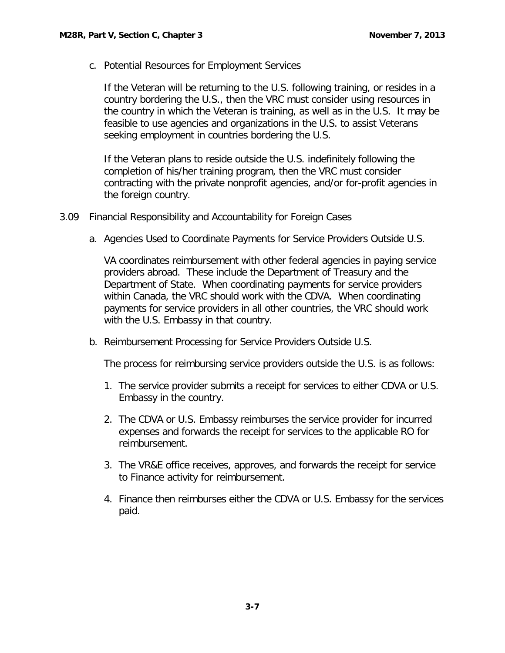<span id="page-8-0"></span>c. Potential Resources for Employment Services

If the Veteran will be returning to the U.S. following training, or resides in a country bordering the U.S., then the VRC must consider using resources in the country in which the Veteran is training, as well as in the U.S. It may be feasible to use agencies and organizations in the U.S. to assist Veterans seeking employment in countries bordering the U.S.

If the Veteran plans to reside outside the U.S. indefinitely following the completion of his/her training program, then the VRC must consider contracting with the private nonprofit agencies, and/or for-profit agencies in the foreign country.

- <span id="page-8-2"></span><span id="page-8-1"></span>3.09 Financial Responsibility and Accountability for Foreign Cases
	- a. Agencies Used to Coordinate Payments for Service Providers Outside U.S.

VA coordinates reimbursement with other federal agencies in paying service providers abroad. These include the Department of Treasury and the Department of State. When coordinating payments for service providers within Canada, the VRC should work with the CDVA. When coordinating payments for service providers in all other countries, the VRC should work with the U.S. Embassy in that country.

<span id="page-8-3"></span>b. Reimbursement Processing for Service Providers Outside U.S.

The process for reimbursing service providers outside the U.S. is as follows:

- 1. The service provider submits a receipt for services to either CDVA or U.S. Embassy in the country.
- 2. The CDVA or U.S. Embassy reimburses the service provider for incurred expenses and forwards the receipt for services to the applicable RO for reimbursement.
- 3. The VR&E office receives, approves, and forwards the receipt for service to Finance activity for reimbursement.
- 4. Finance then reimburses either the CDVA or U.S. Embassy for the services paid.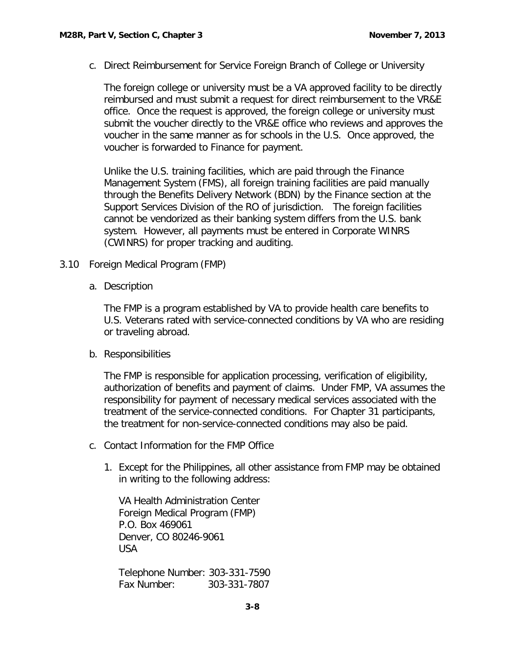<span id="page-9-0"></span>c. Direct Reimbursement for Service Foreign Branch of College or University

The foreign college or university must be a VA approved facility to be directly reimbursed and must submit a request for direct reimbursement to the VR&E office. Once the request is approved, the foreign college or university must submit the voucher directly to the VR&E office who reviews and approves the voucher in the same manner as for schools in the U.S. Once approved, the voucher is forwarded to Finance for payment.

Unlike the U.S. training facilities, which are paid through the Finance Management System (FMS), all foreign training facilities are paid manually through the Benefits Delivery Network (BDN) by the Finance section at the Support Services Division of the RO of jurisdiction. The foreign facilities cannot be vendorized as their banking system differs from the U.S. bank system. However, all payments must be entered in Corporate WINRS (CWINRS) for proper tracking and auditing.

- <span id="page-9-1"></span>3.10 Foreign Medical Program (FMP)
	- a. Description

The FMP is a program established by VA to provide health care benefits to U.S. Veterans rated with service-connected conditions by VA who are residing or traveling abroad.

<span id="page-9-2"></span>b. Responsibilities

The FMP is responsible for application processing, verification of eligibility, authorization of benefits and payment of claims. Under FMP, VA assumes the responsibility for payment of necessary medical services associated with the treatment of the service-connected conditions. For Chapter 31 participants, the treatment for non-service-connected conditions may also be paid.

- <span id="page-9-3"></span>c. Contact Information for the FMP Office
	- 1. Except for the Philippines, all other assistance from FMP may be obtained in writing to the following address:

VA Health Administration Center Foreign Medical Program (FMP) P.O. Box 469061 Denver, CO 80246-9061 USA

Telephone Number: 303-331-7590 Fax Number: 303-331-7807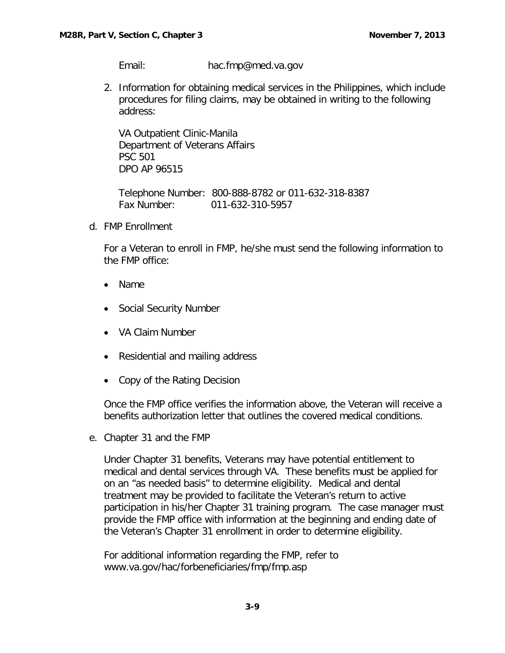Email: [hac.fmp@med.va.gov](mailto:hac.fmp@med.va.gov)

2. Information for obtaining medical services in the Philippines, which include procedures for filing claims, may be obtained in writing to the following address:

VA Outpatient Clinic-Manila Department of Veterans Affairs PSC 501 DPO AP 96515

Telephone Number: 800-888-8782 or 011-632-318-8387 Fax Number: 011-632-310-5957

<span id="page-10-0"></span>d. FMP Enrollment

For a Veteran to enroll in FMP, he/she must send the following information to the FMP office:

- Name
- Social Security Number
- VA Claim Number
- Residential and mailing address
- Copy of the Rating Decision

Once the FMP office verifies the information above, the Veteran will receive a benefits authorization letter that outlines the covered medical conditions.

<span id="page-10-1"></span>e. Chapter 31 and the FMP

Under Chapter 31 benefits, Veterans may have potential entitlement to medical and dental services through VA. These benefits must be applied for on an "as needed basis" to determine eligibility. Medical and dental treatment may be provided to facilitate the Veteran's return to active participation in his/her Chapter 31 training program. The case manager must provide the FMP office with information at the beginning and ending date of the Veteran's Chapter 31 enrollment in order to determine eligibility.

For additional information regarding the FMP, refer to [www.va.gov/hac/forbeneficiaries/fmp/fmp.asp](http://www.va.gov/hac/forbeneficiaries/fmp/fmp.asp)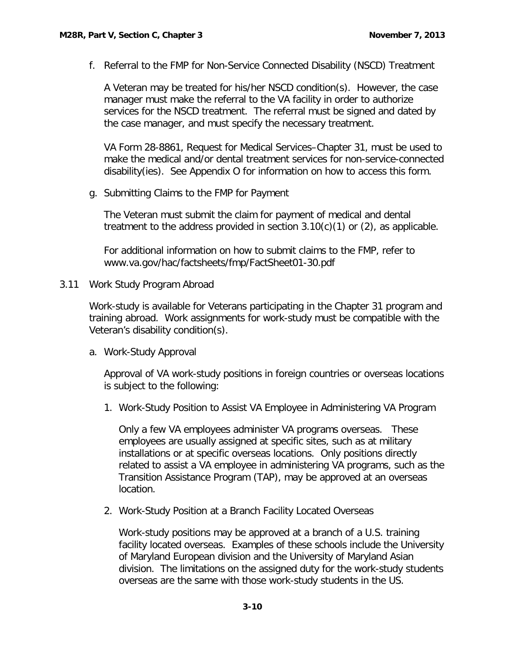<span id="page-11-0"></span>f. Referral to the FMP for Non-Service Connected Disability (NSCD) Treatment

A Veteran may be treated for his/her NSCD condition(s). However, the case manager must make the referral to the VA facility in order to authorize services for the NSCD treatment. The referral must be signed and dated by the case manager, and must specify the necessary treatment.

VA Form 28-8861, Request for Medical Services–Chapter 31, must be used to make the medical and/or dental treatment services for non-service-connected disability(ies). See Appendix O for information on how to access this form.

<span id="page-11-1"></span>g. Submitting Claims to the FMP for Payment

The Veteran must submit the claim for payment of medical and dental treatment to the address provided in section  $3.10(c)(1)$  or  $(2)$ , as applicable.

For additional information on how to submit claims to the FMP, refer to [www.va.gov/hac/factsheets/fmp/FactSheet01-30.pdf](http://www.va.gov/hac/factsheets/fmp/FactSheet01-30.pdf)

3.11 Work Study Program Abroad

Work-study is available for Veterans participating in the Chapter 31 program and training abroad. Work assignments for work-study must be compatible with the Veteran's disability condition(s).

<span id="page-11-2"></span>a. Work-Study Approval

Approval of VA work-study positions in foreign countries or overseas locations is subject to the following:

1. Work-Study Position to Assist VA Employee in Administering VA Program

Only a few VA employees administer VA programs overseas. These employees are usually assigned at specific sites, such as at military installations or at specific overseas locations. Only positions directly related to assist a VA employee in administering VA programs, such as the Transition Assistance Program (TAP), may be approved at an overseas location.

2. Work-Study Position at a Branch Facility Located Overseas

Work-study positions may be approved at a branch of a U.S. training facility located overseas. Examples of these schools include the University of Maryland European division and the University of Maryland Asian division. The limitations on the assigned duty for the work-study students overseas are the same with those work-study students in the US.